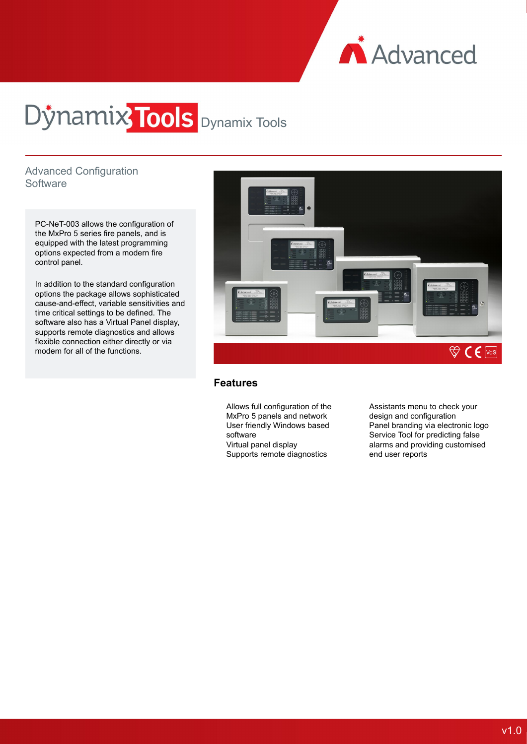

# Dynamix<sup>7</sup>Tools Dynamix Tools

# Advanced Configuration **Software**

PC-NeT-003 allows the configuration of the MxPro 5 series fire panels, and is equipped with the latest programming options expected from a modern fire control panel.

In addition to the standard configuration options the package allows sophisticated cause-and-effect, variable sensitivities and time critical settings to be defined. The software also has a Virtual Panel display, supports remote diagnostics and allows flexible connection either directly or via modem for all of the functions.



### **Features**

Allows full configuration of the MxPro 5 panels and network User friendly Windows based software Virtual panel display Supports remote diagnostics

Assistants menu to check your design and configuration Panel branding via electronic logo Service Tool for predicting false alarms and providing customised end user reports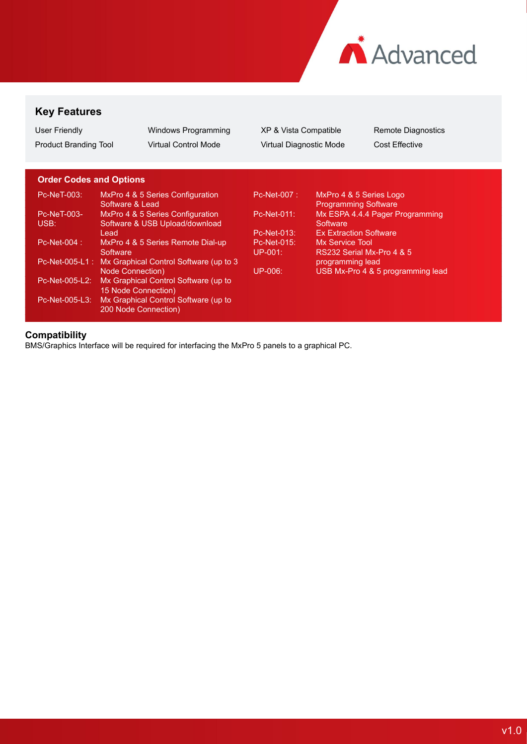

# **Key Features**

| User Friendly         | Windows Programming         | XP 8  |
|-----------------------|-----------------------------|-------|
| Product Branding Tool | <b>Virtual Control Mode</b> | Virtu |

3 Vista Compatible **Remote Diagnostics** ral Diagnostic Mode Cost Effective

# **Order Codes and Options**

| Pc-NeT-003:    | MxPro 4 & 5 Series Configuration<br>Software & Lead   | <b>Pc-Net-007:</b> | MxPro 4 & 5 Series Logo<br><b>Programming Software</b> |
|----------------|-------------------------------------------------------|--------------------|--------------------------------------------------------|
| Pc-NeT-003-    | MxPro 4 & 5 Series Configuration                      | Pc-Net-011:        | Mx ESPA 4.4.4 Pager Programming                        |
| USB:           | Software & USB Upload/download                        |                    | Software                                               |
|                | Lead                                                  | Pc-Net-013:        | <b>Ex Extraction Software</b>                          |
| Pc-Net-004 :   | MxPro 4 & 5 Series Remote Dial-up                     | Pc-Net-015:        | Mx Service Tool                                        |
|                | Software                                              | $UP-001$ :         | RS232 Serial Mx-Pro 4 & 5                              |
|                | Pc-Net-005-L1: Mx Graphical Control Software (up to 3 |                    | programming lead                                       |
|                | <b>Node Connection</b> )                              | $UP-006:$          | USB Mx-Pro 4 & 5 programming lead                      |
| Pc-Net-005-L2: | Mx Graphical Control Software (up to                  |                    |                                                        |
|                | 15 Node Connection)                                   |                    |                                                        |
| Pc-Net-005-L3: | Mx Graphical Control Software (up to                  |                    |                                                        |
|                | 200 Node Connection)                                  |                    |                                                        |

## **Compatibility**

BMS/Graphics Interface will be required for interfacing the MxPro 5 panels to a graphical PC.